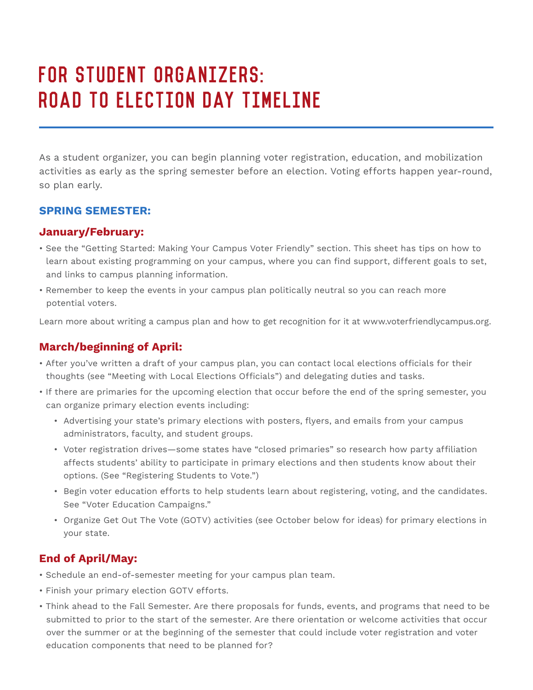# For Student Organizers: Road to Election Day Timeline

As a student organizer, you can begin planning voter registration, education, and mobilization activities as early as the spring semester before an election. Voting efforts happen year-round, so plan early.

## **SPRING SEMESTER:**

## **January/February:**

- See the "Getting Started: Making Your Campus Voter Friendly" section. This sheet has tips on how to learn about existing programming on your campus, where you can find support, different goals to set, and links to campus planning information.
- Remember to keep the events in your campus plan politically neutral so you can reach more potential voters.

Learn more about writing a campus plan and how to get recognition for it at www.voterfriendlycampus.org.

# **March/beginning of April:**

- After you've written a draft of your campus plan, you can contact local elections officials for their thoughts (see "Meeting with Local Elections Officials") and delegating duties and tasks.
- If there are primaries for the upcoming election that occur before the end of the spring semester, you can organize primary election events including:
	- Advertising your state's primary elections with posters, flyers, and emails from your campus administrators, faculty, and student groups.
	- Voter registration drives—some states have "closed primaries" so research how party affiliation affects students' ability to participate in primary elections and then students know about their options. (See "Registering Students to Vote.")
	- Begin voter education efforts to help students learn about registering, voting, and the candidates. See "Voter Education Campaigns."
	- Organize Get Out The Vote (GOTV) activities (see October below for ideas) for primary elections in your state.

# **End of April/May:**

- Schedule an end-of-semester meeting for your campus plan team.
- Finish your primary election GOTV efforts.
- Think ahead to the Fall Semester. Are there proposals for funds, events, and programs that need to be submitted to prior to the start of the semester. Are there orientation or welcome activities that occur over the summer or at the beginning of the semester that could include voter registration and voter education components that need to be planned for?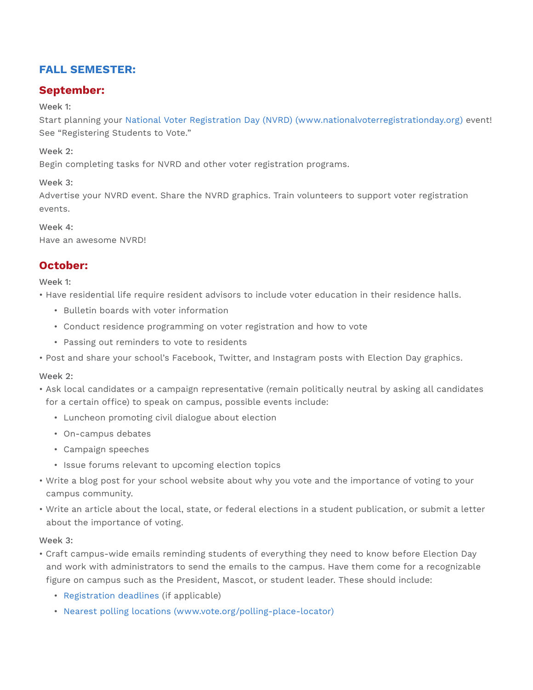# **FALL SEMESTER:**

## **September:**

#### Week 1:

Start planning your National Voter Registration Day (NVRD) (www.nationalvoterregistrationday.org) event! See "Registering Students to Vote."

#### Week 2:

Begin completing tasks for NVRD and other voter registration programs.

Week 3:

Advertise your NVRD event. Share the NVRD graphics. Train volunteers to support voter registration events.

#### Week 4:

Have an awesome NVRD!

## **October:**

Week 1:

• Have residential life require resident advisors to include voter education in their residence halls.

- Bulletin boards with voter information
- Conduct residence programming on voter registration and how to vote
- Passing out reminders to vote to residents
- Post and share your school's Facebook, Twitter, and Instagram posts with Election Day graphics.

#### Week 2:

- Ask local candidates or a campaign representative (remain politically neutral by asking all candidates for a certain office) to speak on campus, possible events include:
	- Luncheon promoting civil dialogue about election
	- On-campus debates
	- Campaign speeches
	- Issue forums relevant to upcoming election topics
- Write a blog post for your school website about why you vote and the importance of voting to your campus community.
- Write an article about the local, state, or federal elections in a student publication, or submit a letter about the importance of voting.

#### Week 3:

- Craft campus-wide emails reminding students of everything they need to know before Election Day and work with administrators to send the emails to the campus. Have them come for a recognizable figure on campus such as the President, Mascot, or student leader. These should include:
	- Registration deadlines (if applicable)
	- Nearest polling locations (www.vote.org/polling-place-locator)